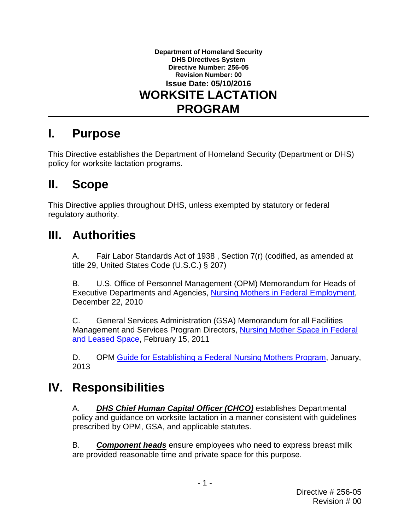

#### **I. Purpose**

This Directive establishes the Department of Homeland Security (Department or DHS) policy for worksite lactation programs.

#### $\mathbf{II}_{-}$ **II. Scope**

This Directive applies throughout DHS, unless exempted by statutory or federal regulatory authority.

### **III. Authorities**

A. Fair Labor Standards Act of 1938 , Section 7(r) (codified, as amended at title 29, United States Code (U.S.C.) § 207)

B. U.S. Office of Personnel Management (OPM) Memorandum for Heads of Executive Departments and Agencies, [Nursing Mothers in Federal Employment,](http://www.dol.gov/whd/nursingmothers/NMothersFederalEmplymnt.pdf) December 22, 2010

[and Leased Space,](http://www.gsa.gov/graphics/pbs/Nursing_Mother_Space_in_Federal_Space_Memo.pdf) February 15, 2011 C. General Services Administration (GSA) Memorandum for all Facilities Management and Services Program Directors, [Nursing Mother Space in Federal](http://www.gsa.gov/graphics/pbs/Nursing_Mother_Space_in_Federal_Space_Memo.pdf) 

D. OPM [Guide for Establishing a Federal Nursing Mothers Program,](http://www.opm.gov/policy-data-oversight/worklife/reference-materials/nursing-mother-guide.pdf) January, 2013

## **IV. Responsibilities**

A. *DHS Chief Human Capital Officer (CHCO)* establishes Departmental policy and guidance on worksite lactation in a manner consistent with guidelines prescribed by OPM, GSA, and applicable statutes.

 B. *Component heads* ensure employees who need to express breast milk are provided reasonable time and private space for this purpose.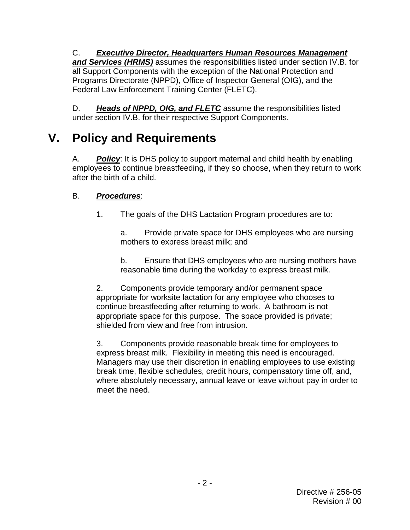*and Services (HRMS)* assumes the responsibilities listed under section IV.B. for C. *Executive Director, Headquarters Human Resources Management*  all Support Components with the exception of the National Protection and Programs Directorate (NPPD), Office of Inspector General (OIG), and the Federal Law Enforcement Training Center (FLETC).

D. *Heads of NPPD, OIG, and FLETC* assume the responsibilities listed under section IV.B. for their respective Support Components.

# **V. Policy and Requirements**

A. *Policy*: It is DHS policy to support maternal and child health by enabling employees to continue breastfeeding, if they so choose, when they return to work after the birth of a child.

#### **Procedures:**

B. *Procedures*: 1. The goals of the DHS Lactation Program procedures are to:

a. Provide private space for DHS employees who are nursing mothers to express breast milk; and

b. Ensure that DHS employees who are nursing mothers have reasonable time during the workday to express breast milk.

 appropriate space for this purpose. The space provided is private; 2. Components provide temporary and/or permanent space appropriate for worksite lactation for any employee who chooses to continue breastfeeding after returning to work. A bathroom is not shielded from view and free from intrusion.

express breast milk. Flexibility in meeting this need is encouraged. 3. Components provide reasonable break time for employees to Managers may use their discretion in enabling employees to use existing break time, flexible schedules, credit hours, compensatory time off, and, where absolutely necessary, annual leave or leave without pay in order to meet the need.